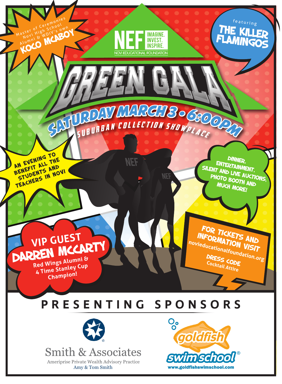